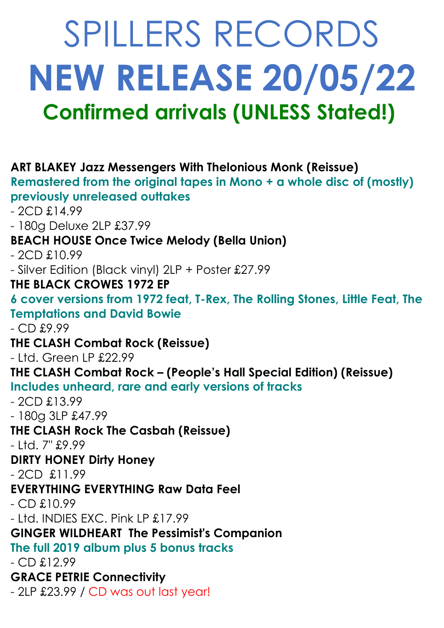# SPILLERS RECORDS **NEW RELEASE 20/05/22 Confirmed arrivals (UNLESS Stated!)**

**ART BLAKEY Jazz Messengers With Thelonious Monk (Reissue) Remastered from the original tapes in Mono + a whole disc of (mostly) previously unreleased outtakes** - 2CD £14.99 - 180g Deluxe 2LP £37.99 **BEACH HOUSE Once Twice Melody (Bella Union)** - 2CD £10.99 - Silver Edition (Black vinyl) 2LP + Poster £27.99 **THE BLACK CROWES 1972 EP 6 cover versions from 1972 feat, T-Rex, The Rolling Stones, Little Feat, The Temptations and David Bowie** - CD £9.99 **THE CLASH Combat Rock (Reissue)** - Ltd. Green LP £22.99 **THE CLASH Combat Rock – (People's Hall Special Edition) (Reissue) Includes unheard, rare and early versions of tracks** - 2CD £13.99 - 180g 3LP £47.99 **THE CLASH Rock The Casbah (Reissue)** - Ltd. 7" £9.99 **DIRTY HONEY Dirty Honey** - 2CD £11.99 **EVERYTHING EVERYTHING Raw Data Feel** - CD £10.99 - Ltd. INDIES EXC. Pink LP £17.99 **GINGER WILDHEART The Pessimist's Companion The full 2019 album plus 5 bonus tracks** - CD £12.99 **GRACE PETRIE Connectivity**  - 2LP £23.99 / CD was out last year!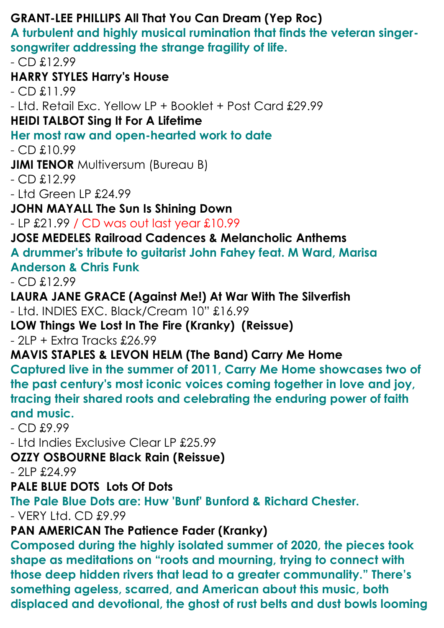### **GRANT-LEE PHILLIPS All That You Can Dream (Yep Roc)**

**A turbulent and highly musical rumination that finds the veteran singersongwriter addressing the strange fragility of life.**

 $-$  CD  $£12.99$ 

**HARRY STYLES Harry's House**

- CD £11.99

- Ltd. Retail Exc. Yellow LP + Booklet + Post Card £29.99

#### **HEIDI TALBOT Sing It For A Lifetime**

#### **Her most raw and open-hearted work to date**

- CD £10.99

**JIMI TENOR Multiversum (Bureau B)** 

 $-$  CD  $£12.99$ 

- Ltd Green LP £24.99

**JOHN MAYALL The Sun Is Shining Down**

- LP £21.99 / CD was out last year £10.99

#### **JOSE MEDELES Railroad Cadences & Melancholic Anthems**

**A drummer's tribute to guitarist John Fahey feat. M Ward, Marisa Anderson & Chris Funk**

 $-$  CD  $£12.99$ 

#### **LAURA JANE GRACE (Against Me!) At War With The Silverfish**

- Ltd. INDIES EXC. Black/Cream 10" £16.99

**LOW Things We Lost In The Fire (Kranky) (Reissue)**

- 2LP + Extra Tracks £26.99

#### **MAVIS STAPLES & LEVON HELM (The Band) Carry Me Home**

**Captured live in the summer of 2011, Carry Me Home showcases two of the past century's most iconic voices coming together in love and joy, tracing their shared roots and celebrating the enduring power of faith and music.**

- CD £9.99

- Ltd Indies Exclusive Clear LP £25.99

#### **OZZY OSBOURNE Black Rain (Reissue)**

- 2LP £24.99

#### **PALE BLUE DOTS Lots Of Dots**

**The Pale Blue Dots are: Huw 'Bunf' Bunford & Richard Chester.**

- VERY Ltd. CD £9.99

#### **PAN AMERICAN The Patience Fader (Kranky)**

**Composed during the highly isolated summer of 2020, the pieces took shape as meditations on "roots and mourning, trying to connect with those deep hidden rivers that lead to a greater communality." There's something ageless, scarred, and American about this music, both displaced and devotional, the ghost of rust belts and dust bowls looming**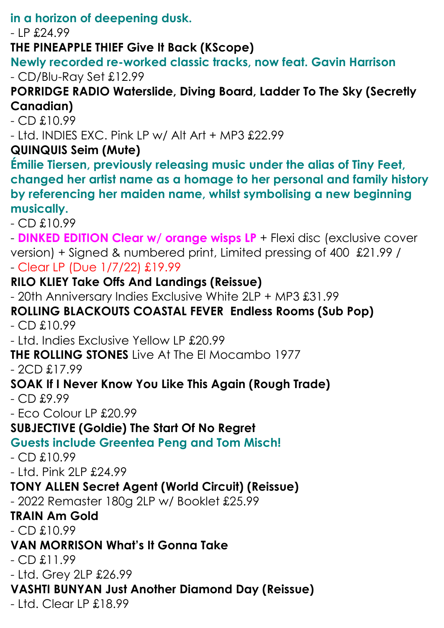**in a horizon of deepening dusk.**

- LP £24.99

**THE PINEAPPLE THIEF Give It Back (KScope)**

**Newly recorded re-worked classic tracks, now feat. Gavin Harrison** - CD/Blu-Ray Set £12.99

#### **PORRIDGE RADIO Waterslide, Diving Board, Ladder To The Sky (Secretly Canadian)**

- CD £10.99

- Ltd. INDIES EXC. Pink LP w/ Alt Art + MP3 £22.99

#### **QUINQUIS Seim (Mute)**

**Émilie Tiersen, previously releasing music under the alias of Tiny Feet, changed her artist name as a homage to her personal and family history by referencing her maiden name, whilst symbolising a new beginning musically.**

 $-$  CD  $£10.99$ 

- **DINKED EDITION Clear w/ orange wisps LP** + Flexi disc (exclusive cover version) + Signed & numbered print, Limited pressing of 400 £21.99 / - Clear LP (Due 1/7/22) £19.99

#### **RILO KLIEY Take Offs And Landings (Reissue)**

- 20th Anniversary Indies Exclusive White 2LP + MP3 £31.99

## **ROLLING BLACKOUTS COASTAL FEVER Endless Rooms (Sub Pop)**

 $-$  CD  $£10.99$ 

- Ltd. Indies Exclusive Yellow LP £20.99

**THE ROLLING STONES** Live At The El Mocambo 1977

- 2CD £17.99

#### **SOAK If I Never Know You Like This Again (Rough Trade)**

- CD £9.99

- Eco Colour LP £20.99

#### **SUBJECTIVE (Goldie) The Start Of No Regret**

#### **Guests include Greentea Peng and Tom Misch!**

- CD £10.99

- Ltd. Pink 2LP £24.99

#### **TONY ALLEN Secret Agent (World Circuit) (Reissue)**

- 2022 Remaster 180g 2LP w/ Booklet £25.99

#### **TRAIN Am Gold**

 $-$  CD  $£10.99$ 

#### **VAN MORRISON What's It Gonna Take**

 $-$  CD  $£11.99$ 

- Ltd. Grey 2LP £26.99

#### **VASHTI BUNYAN Just Another Diamond Day (Reissue)**

- Ltd. Clear LP £18.99